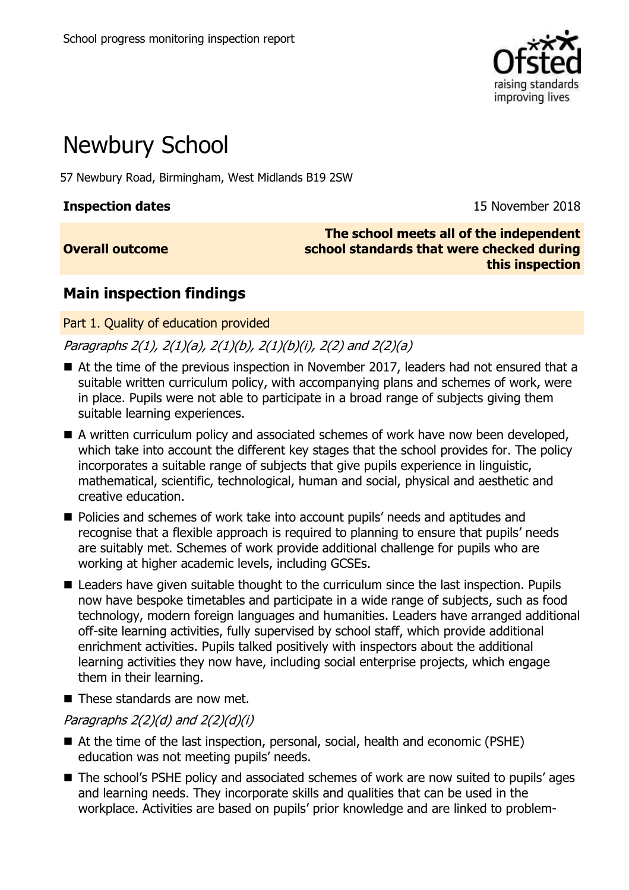

# Newbury School

57 Newbury Road, Birmingham, West Midlands B19 2SW

**Overall outcome**

**Inspection dates** 15 November 2018

**The school meets all of the independent school standards that were checked during this inspection**

# **Main inspection findings**

Part 1. Quality of education provided

Paragraphs 2(1), 2(1)(a), 2(1)(b), 2(1)(b)(i), 2(2) and 2(2)(a)

- At the time of the previous inspection in November 2017, leaders had not ensured that a suitable written curriculum policy, with accompanying plans and schemes of work, were in place. Pupils were not able to participate in a broad range of subjects giving them suitable learning experiences.
- A written curriculum policy and associated schemes of work have now been developed, which take into account the different key stages that the school provides for. The policy incorporates a suitable range of subjects that give pupils experience in linguistic, mathematical, scientific, technological, human and social, physical and aesthetic and creative education.
- Policies and schemes of work take into account pupils' needs and aptitudes and recognise that a flexible approach is required to planning to ensure that pupils' needs are suitably met. Schemes of work provide additional challenge for pupils who are working at higher academic levels, including GCSEs.
- Leaders have given suitable thought to the curriculum since the last inspection. Pupils now have bespoke timetables and participate in a wide range of subjects, such as food technology, modern foreign languages and humanities. Leaders have arranged additional off-site learning activities, fully supervised by school staff, which provide additional enrichment activities. Pupils talked positively with inspectors about the additional learning activities they now have, including social enterprise projects, which engage them in their learning.
- $\blacksquare$  These standards are now met.

### Paragraphs  $2(2)(d)$  and  $2(2)(d)(i)$

- At the time of the last inspection, personal, social, health and economic (PSHE) education was not meeting pupils' needs.
- The school's PSHE policy and associated schemes of work are now suited to pupils' ages and learning needs. They incorporate skills and qualities that can be used in the workplace. Activities are based on pupils' prior knowledge and are linked to problem-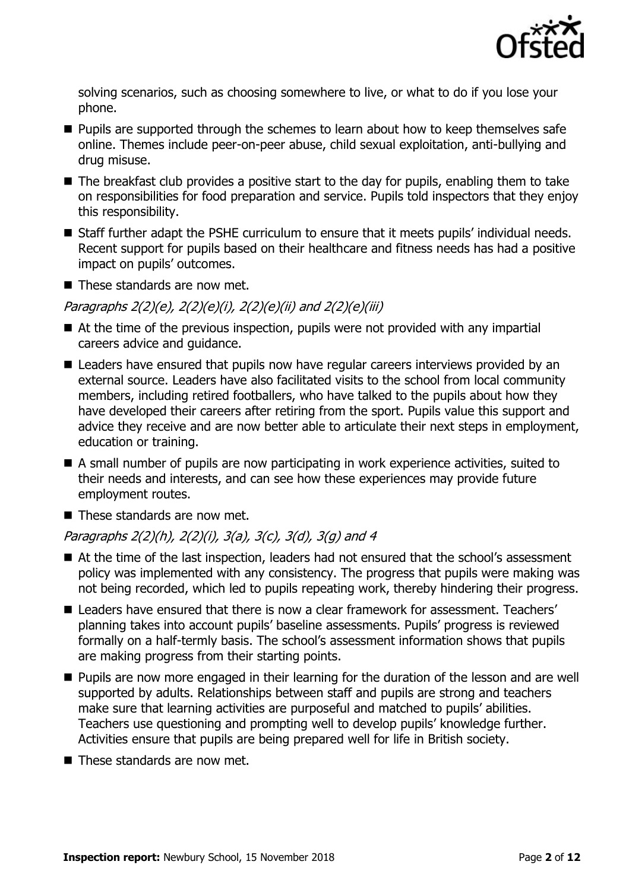

solving scenarios, such as choosing somewhere to live, or what to do if you lose your phone.

- **Pupils are supported through the schemes to learn about how to keep themselves safe** online. Themes include peer-on-peer abuse, child sexual exploitation, anti-bullying and drug misuse.
- $\blacksquare$  The breakfast club provides a positive start to the day for pupils, enabling them to take on responsibilities for food preparation and service. Pupils told inspectors that they enjoy this responsibility.
- Staff further adapt the PSHE curriculum to ensure that it meets pupils' individual needs. Recent support for pupils based on their healthcare and fitness needs has had a positive impact on pupils' outcomes.
- $\blacksquare$  These standards are now met.

#### Paragraphs 2(2)(e), 2(2)(e)(i), 2(2)(e)(ii) and 2(2)(e)(iii)

- At the time of the previous inspection, pupils were not provided with any impartial careers advice and guidance.
- Leaders have ensured that pupils now have regular careers interviews provided by an external source. Leaders have also facilitated visits to the school from local community members, including retired footballers, who have talked to the pupils about how they have developed their careers after retiring from the sport. Pupils value this support and advice they receive and are now better able to articulate their next steps in employment, education or training.
- A small number of pupils are now participating in work experience activities, suited to their needs and interests, and can see how these experiences may provide future employment routes.
- $\blacksquare$  These standards are now met.

### Paragraphs 2(2)(h), 2(2)(i), 3(a), 3(c), 3(d), 3(g) and 4

- At the time of the last inspection, leaders had not ensured that the school's assessment policy was implemented with any consistency. The progress that pupils were making was not being recorded, which led to pupils repeating work, thereby hindering their progress.
- Leaders have ensured that there is now a clear framework for assessment. Teachers' planning takes into account pupils' baseline assessments. Pupils' progress is reviewed formally on a half-termly basis. The school's assessment information shows that pupils are making progress from their starting points.
- **Pupils are now more engaged in their learning for the duration of the lesson and are well** supported by adults. Relationships between staff and pupils are strong and teachers make sure that learning activities are purposeful and matched to pupils' abilities. Teachers use questioning and prompting well to develop pupils' knowledge further. Activities ensure that pupils are being prepared well for life in British society.
- These standards are now met.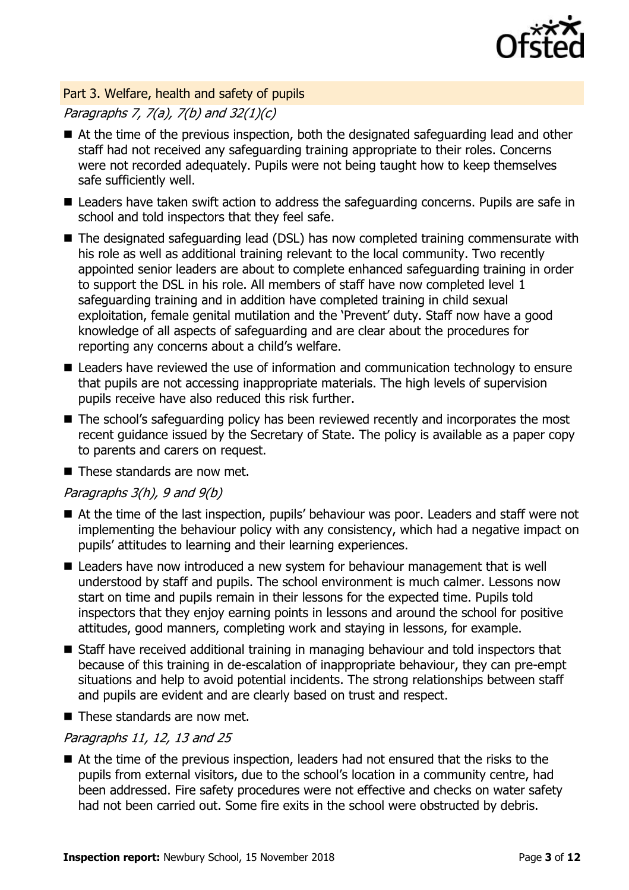

#### Part 3. Welfare, health and safety of pupils

### Paragraphs 7, 7(a), 7(b) and 32(1)(c)

- At the time of the previous inspection, both the designated safeguarding lead and other staff had not received any safeguarding training appropriate to their roles. Concerns were not recorded adequately. Pupils were not being taught how to keep themselves safe sufficiently well.
- Leaders have taken swift action to address the safeguarding concerns. Pupils are safe in school and told inspectors that they feel safe.
- The designated safeguarding lead (DSL) has now completed training commensurate with his role as well as additional training relevant to the local community. Two recently appointed senior leaders are about to complete enhanced safeguarding training in order to support the DSL in his role. All members of staff have now completed level 1 safeguarding training and in addition have completed training in child sexual exploitation, female genital mutilation and the 'Prevent' duty. Staff now have a good knowledge of all aspects of safeguarding and are clear about the procedures for reporting any concerns about a child's welfare.
- Leaders have reviewed the use of information and communication technology to ensure that pupils are not accessing inappropriate materials. The high levels of supervision pupils receive have also reduced this risk further.
- The school's safeguarding policy has been reviewed recently and incorporates the most recent guidance issued by the Secretary of State. The policy is available as a paper copy to parents and carers on request.
- $\blacksquare$  These standards are now met.

#### Paragraphs  $3(h)$ , 9 and  $9(b)$

- At the time of the last inspection, pupils' behaviour was poor. Leaders and staff were not implementing the behaviour policy with any consistency, which had a negative impact on pupils' attitudes to learning and their learning experiences.
- Leaders have now introduced a new system for behaviour management that is well understood by staff and pupils. The school environment is much calmer. Lessons now start on time and pupils remain in their lessons for the expected time. Pupils told inspectors that they enjoy earning points in lessons and around the school for positive attitudes, good manners, completing work and staying in lessons, for example.
- Staff have received additional training in managing behaviour and told inspectors that because of this training in de-escalation of inappropriate behaviour, they can pre-empt situations and help to avoid potential incidents. The strong relationships between staff and pupils are evident and are clearly based on trust and respect.
- $\blacksquare$  These standards are now met.

#### Paragraphs 11, 12, 13 and 25

■ At the time of the previous inspection, leaders had not ensured that the risks to the pupils from external visitors, due to the school's location in a community centre, had been addressed. Fire safety procedures were not effective and checks on water safety had not been carried out. Some fire exits in the school were obstructed by debris.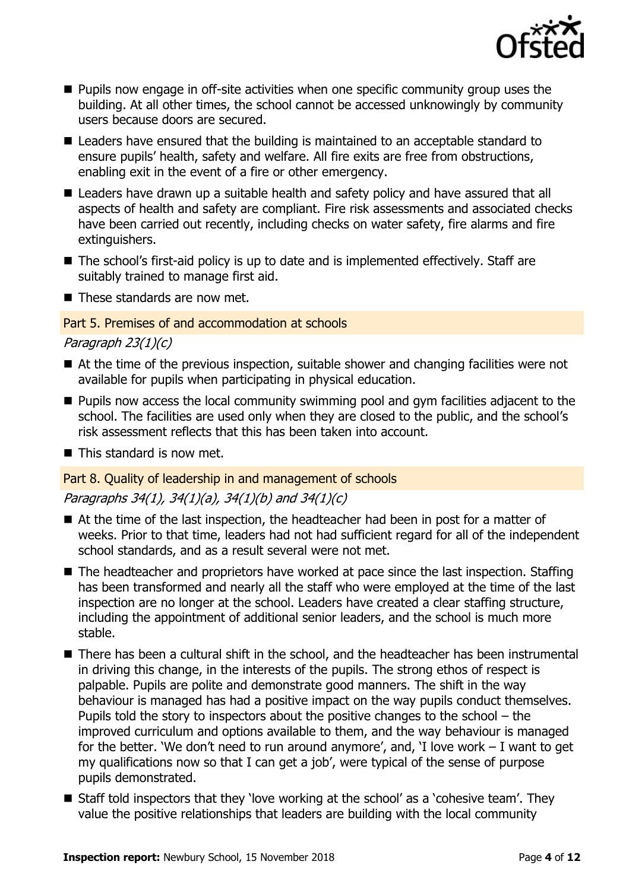

- **Pupils now engage in off-site activities when one specific community group uses the** building. At all other times, the school cannot be accessed unknowingly by community users because doors are secured.
- Leaders have ensured that the building is maintained to an acceptable standard to ensure pupils' health, safety and welfare. All fire exits are free from obstructions, enabling exit in the event of a fire or other emergency.
- Leaders have drawn up a suitable health and safety policy and have assured that all aspects of health and safety are compliant. Fire risk assessments and associated checks have been carried out recently, including checks on water safety, fire alarms and fire extinguishers.
- The school's first-aid policy is up to date and is implemented effectively. Staff are suitably trained to manage first aid.
- $\blacksquare$  These standards are now met.

#### Part 5. Premises of and accommodation at schools

Paragraph 23(1)(c)

- At the time of the previous inspection, suitable shower and changing facilities were not available for pupils when participating in physical education.
- **Pupils now access the local community swimming pool and gym facilities adjacent to the** school. The facilities are used only when they are closed to the public, and the school's risk assessment reflects that this has been taken into account.
- $\blacksquare$  This standard is now met.

#### Part 8. Quality of leadership in and management of schools

#### Paragraphs 34(1), 34(1)(a), 34(1)(b) and 34(1)(c)

- At the time of the last inspection, the headteacher had been in post for a matter of weeks. Prior to that time, leaders had not had sufficient regard for all of the independent school standards, and as a result several were not met.
- The headteacher and proprietors have worked at pace since the last inspection. Staffing has been transformed and nearly all the staff who were employed at the time of the last inspection are no longer at the school. Leaders have created a clear staffing structure, including the appointment of additional senior leaders, and the school is much more stable.
- There has been a cultural shift in the school, and the headteacher has been instrumental in driving this change, in the interests of the pupils. The strong ethos of respect is palpable. Pupils are polite and demonstrate good manners. The shift in the way behaviour is managed has had a positive impact on the way pupils conduct themselves. Pupils told the story to inspectors about the positive changes to the school – the improved curriculum and options available to them, and the way behaviour is managed for the better. 'We don't need to run around anymore', and, 'I love work  $-1$  want to get my qualifications now so that I can get a job', were typical of the sense of purpose pupils demonstrated.
- Staff told inspectors that they 'love working at the school' as a 'cohesive team'. They value the positive relationships that leaders are building with the local community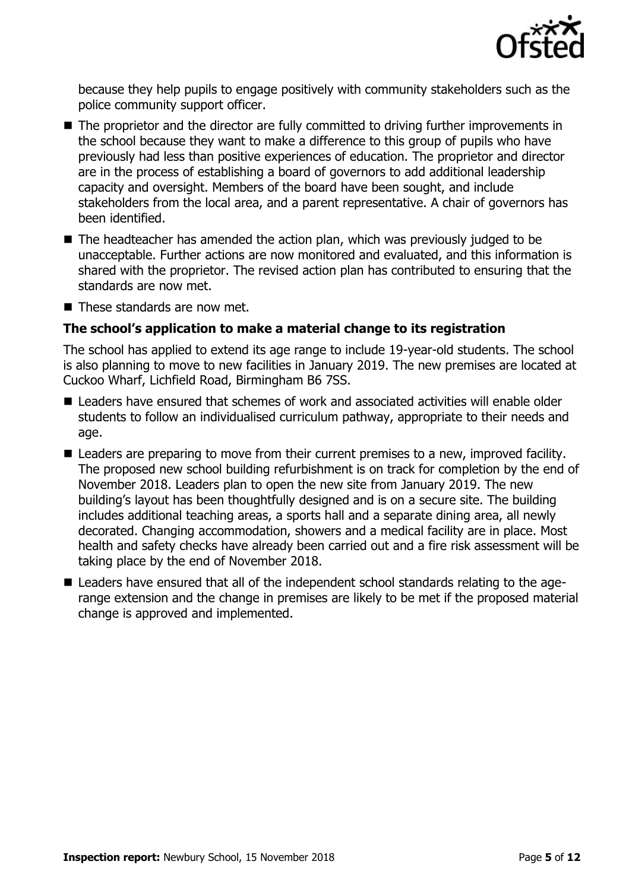

because they help pupils to engage positively with community stakeholders such as the police community support officer.

- The proprietor and the director are fully committed to driving further improvements in the school because they want to make a difference to this group of pupils who have previously had less than positive experiences of education. The proprietor and director are in the process of establishing a board of governors to add additional leadership capacity and oversight. Members of the board have been sought, and include stakeholders from the local area, and a parent representative. A chair of governors has been identified.
- The headteacher has amended the action plan, which was previously judged to be unacceptable. Further actions are now monitored and evaluated, and this information is shared with the proprietor. The revised action plan has contributed to ensuring that the standards are now met.
- $\blacksquare$  These standards are now met.

#### **The school's application to make a material change to its registration**

The school has applied to extend its age range to include 19-year-old students. The school is also planning to move to new facilities in January 2019. The new premises are located at Cuckoo Wharf, Lichfield Road, Birmingham B6 7SS.

- Leaders have ensured that schemes of work and associated activities will enable older students to follow an individualised curriculum pathway, appropriate to their needs and age.
- Leaders are preparing to move from their current premises to a new, improved facility. The proposed new school building refurbishment is on track for completion by the end of November 2018. Leaders plan to open the new site from January 2019. The new building's layout has been thoughtfully designed and is on a secure site. The building includes additional teaching areas, a sports hall and a separate dining area, all newly decorated. Changing accommodation, showers and a medical facility are in place. Most health and safety checks have already been carried out and a fire risk assessment will be taking place by the end of November 2018.
- Leaders have ensured that all of the independent school standards relating to the agerange extension and the change in premises are likely to be met if the proposed material change is approved and implemented.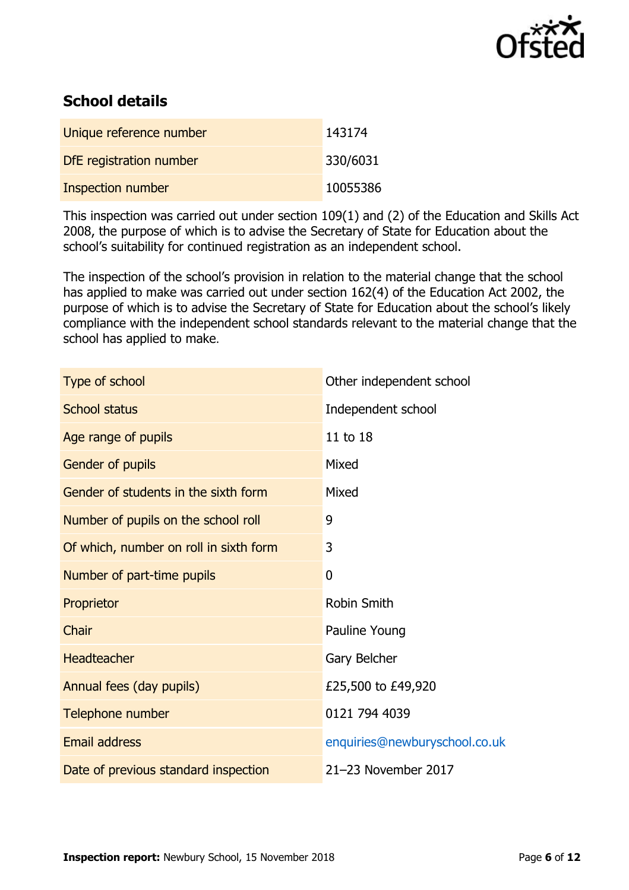

# **School details**

| Unique reference number  | 143174   |
|--------------------------|----------|
| DfE registration number  | 330/6031 |
| <b>Inspection number</b> | 10055386 |

This inspection was carried out under section 109(1) and (2) of the Education and Skills Act 2008, the purpose of which is to advise the Secretary of State for Education about the school's suitability for continued registration as an independent school.

The inspection of the school's provision in relation to the material change that the school has applied to make was carried out under section 162(4) of the Education Act 2002, the purpose of which is to advise the Secretary of State for Education about the school's likely compliance with the independent school standards relevant to the material change that the school has applied to make.

| Type of school                         | Other independent school      |
|----------------------------------------|-------------------------------|
| <b>School status</b>                   | Independent school            |
| Age range of pupils                    | 11 to 18                      |
| Gender of pupils                       | Mixed                         |
| Gender of students in the sixth form   | Mixed                         |
| Number of pupils on the school roll    | 9                             |
| Of which, number on roll in sixth form | 3                             |
| Number of part-time pupils             | 0                             |
| Proprietor                             | <b>Robin Smith</b>            |
| Chair                                  | Pauline Young                 |
| <b>Headteacher</b>                     | Gary Belcher                  |
| Annual fees (day pupils)               | £25,500 to £49,920            |
| Telephone number                       | 0121 794 4039                 |
| <b>Email address</b>                   | enquiries@newburyschool.co.uk |
| Date of previous standard inspection   | 21-23 November 2017           |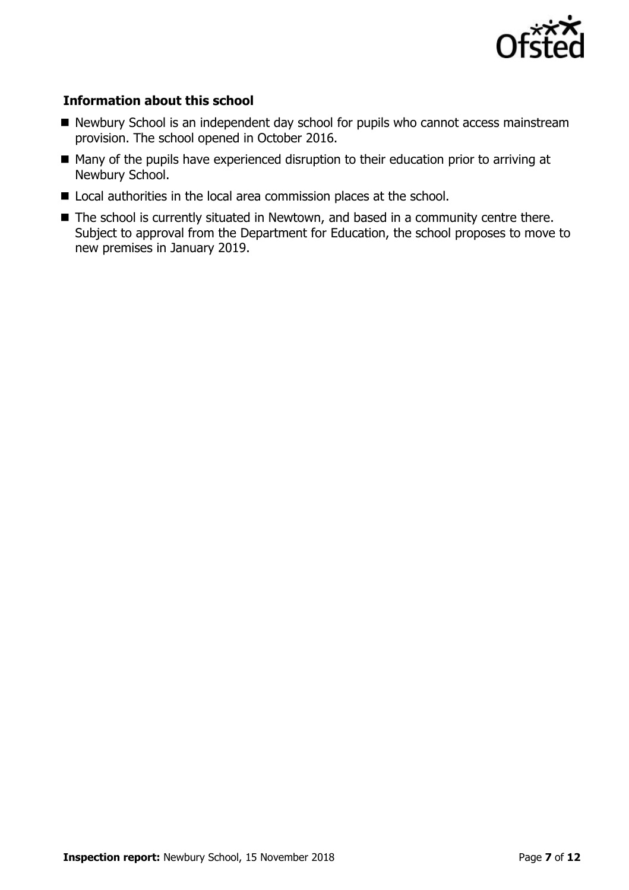

#### **Information about this school**

- Newbury School is an independent day school for pupils who cannot access mainstream provision. The school opened in October 2016.
- Many of the pupils have experienced disruption to their education prior to arriving at Newbury School.
- Local authorities in the local area commission places at the school.
- The school is currently situated in Newtown, and based in a community centre there. Subject to approval from the Department for Education, the school proposes to move to new premises in January 2019.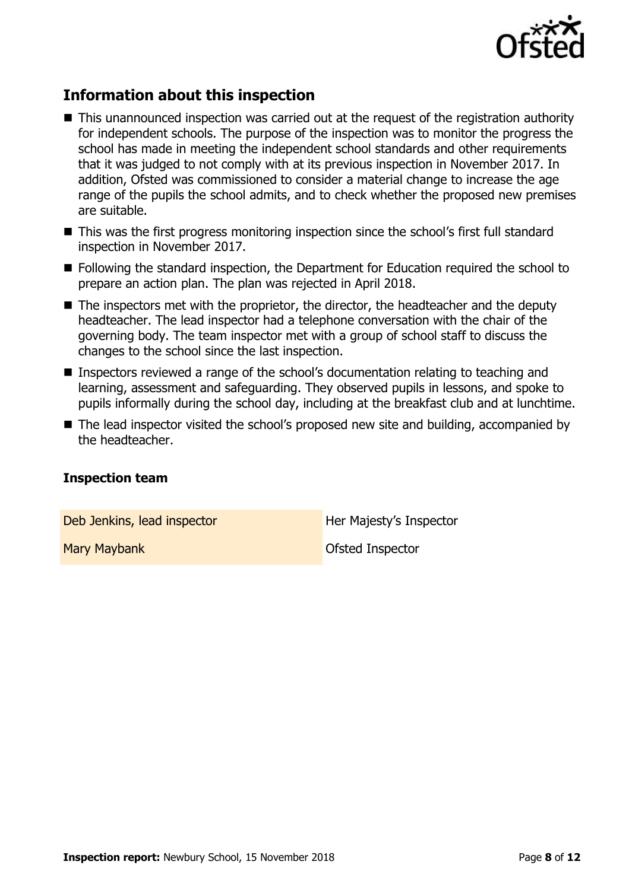

# **Information about this inspection**

- This unannounced inspection was carried out at the request of the registration authority for independent schools. The purpose of the inspection was to monitor the progress the school has made in meeting the independent school standards and other requirements that it was judged to not comply with at its previous inspection in November 2017. In addition, Ofsted was commissioned to consider a material change to increase the age range of the pupils the school admits, and to check whether the proposed new premises are suitable.
- This was the first progress monitoring inspection since the school's first full standard inspection in November 2017.
- Following the standard inspection, the Department for Education required the school to prepare an action plan. The plan was rejected in April 2018.
- $\blacksquare$  The inspectors met with the proprietor, the director, the headteacher and the deputy headteacher. The lead inspector had a telephone conversation with the chair of the governing body. The team inspector met with a group of school staff to discuss the changes to the school since the last inspection.
- Inspectors reviewed a range of the school's documentation relating to teaching and learning, assessment and safeguarding. They observed pupils in lessons, and spoke to pupils informally during the school day, including at the breakfast club and at lunchtime.
- The lead inspector visited the school's proposed new site and building, accompanied by the headteacher.

#### **Inspection team**

Deb Jenkins, lead inspector **Her Majesty's Inspector** 

**Mary Maybank** May **Mary Maybank** Ofsted Inspector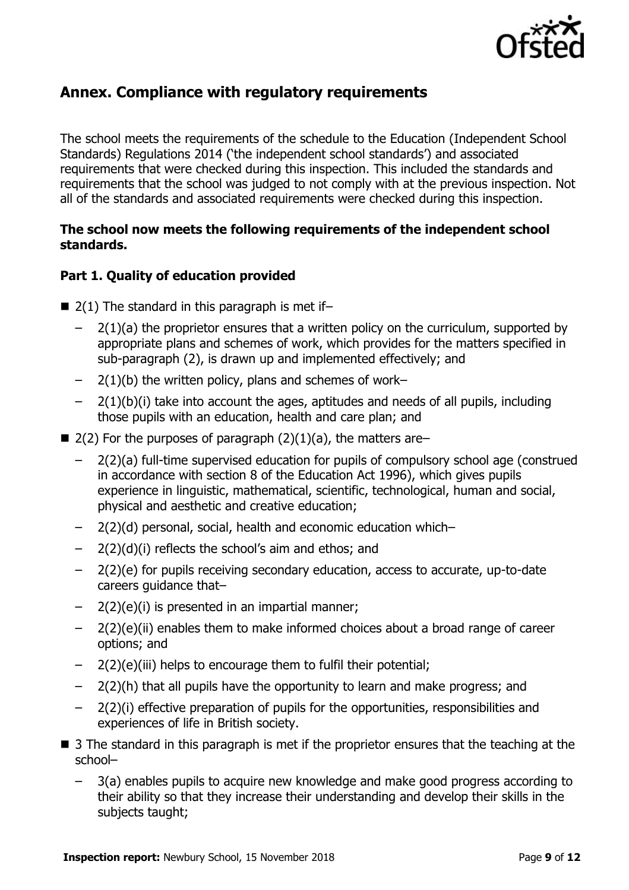

## **Annex. Compliance with regulatory requirements**

The school meets the requirements of the schedule to the Education (Independent School Standards) Regulations 2014 ('the independent school standards') and associated requirements that were checked during this inspection. This included the standards and requirements that the school was judged to not comply with at the previous inspection. Not all of the standards and associated requirements were checked during this inspection.

#### **The school now meets the following requirements of the independent school standards.**

#### **Part 1. Quality of education provided**

- $\blacksquare$  2(1) The standard in this paragraph is met if-
	- 2(1)(a) the proprietor ensures that a written policy on the curriculum, supported by appropriate plans and schemes of work, which provides for the matters specified in sub-paragraph (2), is drawn up and implemented effectively; and
	- $-$  2(1)(b) the written policy, plans and schemes of work–
	- 2(1)(b)(i) take into account the ages, aptitudes and needs of all pupils, including those pupils with an education, health and care plan; and
- 2(2) For the purposes of paragraph  $(2)(1)(a)$ , the matters are–
	- 2(2)(a) full-time supervised education for pupils of compulsory school age (construed in accordance with section 8 of the Education Act 1996), which gives pupils experience in linguistic, mathematical, scientific, technological, human and social, physical and aesthetic and creative education;
	- 2(2)(d) personal, social, health and economic education which–
	- $2(2)(d)(i)$  reflects the school's aim and ethos; and
	- 2(2)(e) for pupils receiving secondary education, access to accurate, up-to-date careers guidance that–
	- $2(2)(e)(i)$  is presented in an impartial manner;
	- 2(2)(e)(ii) enables them to make informed choices about a broad range of career options; and
	- 2(2)(e)(iii) helps to encourage them to fulfil their potential;
	- 2(2)(h) that all pupils have the opportunity to learn and make progress; and
	- 2(2)(i) effective preparation of pupils for the opportunities, responsibilities and experiences of life in British society.
- 3 The standard in this paragraph is met if the proprietor ensures that the teaching at the school–
	- 3(a) enables pupils to acquire new knowledge and make good progress according to their ability so that they increase their understanding and develop their skills in the subjects taught;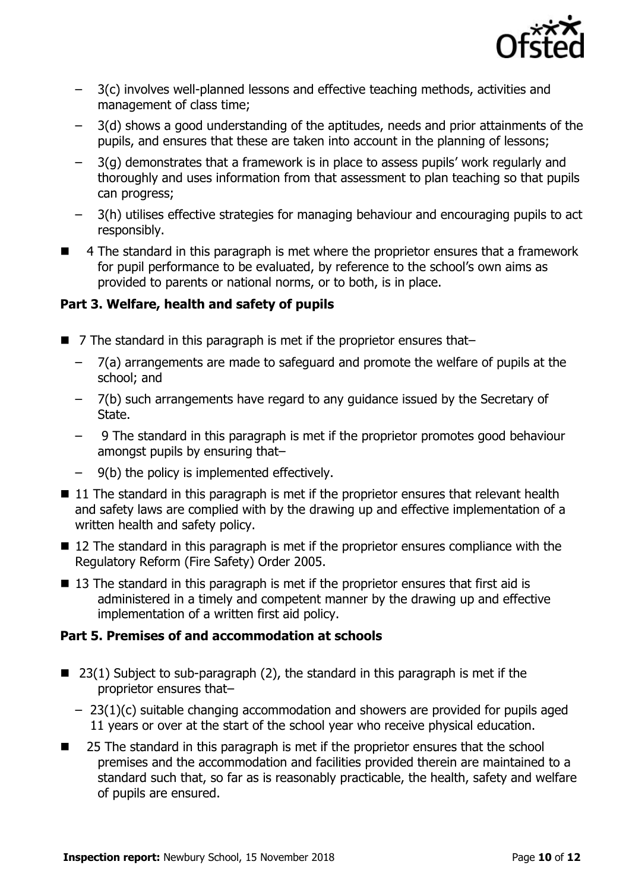

- 3(c) involves well-planned lessons and effective teaching methods, activities and management of class time;
- 3(d) shows a good understanding of the aptitudes, needs and prior attainments of the pupils, and ensures that these are taken into account in the planning of lessons;
- 3(g) demonstrates that a framework is in place to assess pupils' work regularly and thoroughly and uses information from that assessment to plan teaching so that pupils can progress;
- 3(h) utilises effective strategies for managing behaviour and encouraging pupils to act responsibly.
- 4 The standard in this paragraph is met where the proprietor ensures that a framework for pupil performance to be evaluated, by reference to the school's own aims as provided to parents or national norms, or to both, is in place.

#### **Part 3. Welfare, health and safety of pupils**

- 7 The standard in this paragraph is met if the proprietor ensures that-
	- 7(a) arrangements are made to safeguard and promote the welfare of pupils at the school; and
	- 7(b) such arrangements have regard to any guidance issued by the Secretary of State.
	- 9 The standard in this paragraph is met if the proprietor promotes good behaviour amongst pupils by ensuring that–
	- 9(b) the policy is implemented effectively.
- $\blacksquare$  11 The standard in this paragraph is met if the proprietor ensures that relevant health and safety laws are complied with by the drawing up and effective implementation of a written health and safety policy.
- 12 The standard in this paragraph is met if the proprietor ensures compliance with the Regulatory Reform (Fire Safety) Order 2005.
- $\blacksquare$  13 The standard in this paragraph is met if the proprietor ensures that first aid is administered in a timely and competent manner by the drawing up and effective implementation of a written first aid policy.

#### **Part 5. Premises of and accommodation at schools**

- 23(1) Subject to sub-paragraph (2), the standard in this paragraph is met if the proprietor ensures that–
	- 23(1)(c) suitable changing accommodation and showers are provided for pupils aged 11 years or over at the start of the school year who receive physical education.
- 25 The standard in this paragraph is met if the proprietor ensures that the school premises and the accommodation and facilities provided therein are maintained to a standard such that, so far as is reasonably practicable, the health, safety and welfare of pupils are ensured.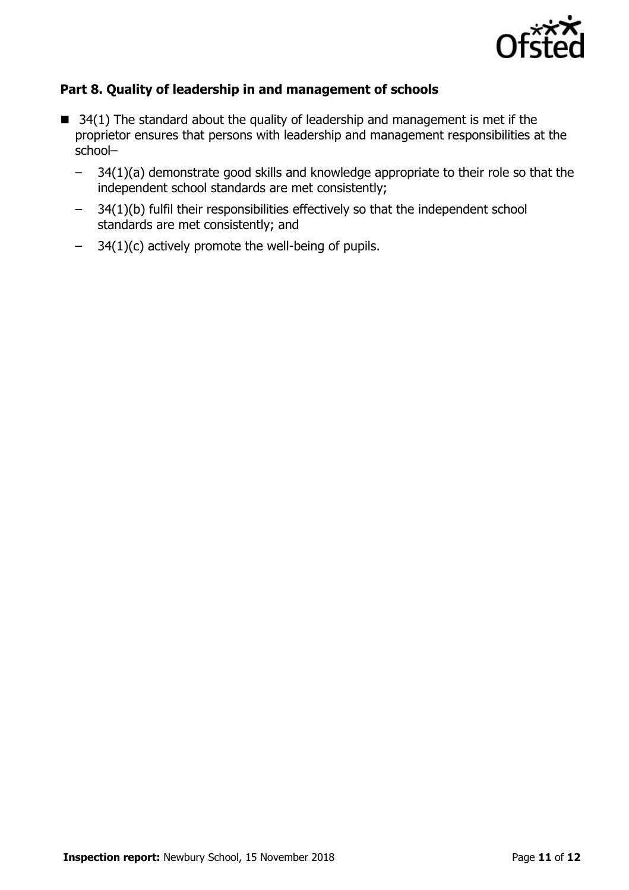

#### **Part 8. Quality of leadership in and management of schools**

- $\blacksquare$  34(1) The standard about the quality of leadership and management is met if the proprietor ensures that persons with leadership and management responsibilities at the school–
	- 34(1)(a) demonstrate good skills and knowledge appropriate to their role so that the independent school standards are met consistently;
	- 34(1)(b) fulfil their responsibilities effectively so that the independent school standards are met consistently; and
	- $-$  34(1)(c) actively promote the well-being of pupils.